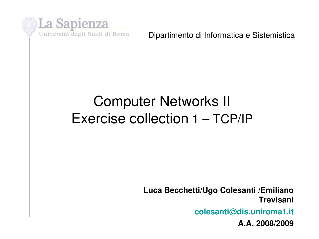

Dipartimento di Informatica e Sistemistica

# Computer Networks II Exercise collection 1 – TCP/IP

**Luca Becchetti/Ugo Colesanti /Emiliano Trevisani**

**colesanti@dis.uniroma1.it**

**A.A. 2008/2009**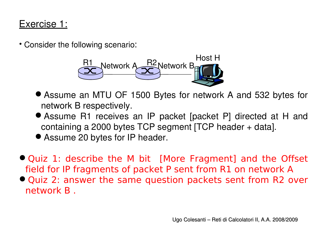### Exercise 1:

• Consider the following scenario:



- Assume an MTU OF 1500 Bytes for network A and 532 bytes for network B respectively.
- Assume R1 receives an IP packet [packet P] directed at H and containing a 2000 bytes TCP segment [TCP header + data].
- Assume 20 bytes for IP header.
- Quiz 1: describe the M bit [More Fragment] and the Offset field for IP fragments of packet P sent from R1 on network A
- Quiz 2: answer the same question packets sent from R2 over network B .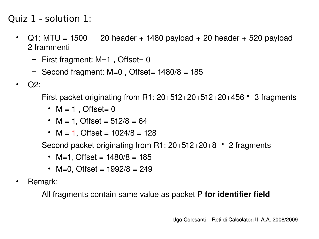Quiz 1 - solution 1:

- Q1: MTU = 1500 · 20 header + 1480 payload + 20 header + 520 payload \ 2 frammenti
	- $-$  First fragment: M=1, Offset= 0
	- $-$  Second fragment: M=0, Offset= 1480/8 = 185
- Q2:
	- $-$  First packet originating from R1:  $20+512+20+512+20+456$   $\bullet$  3 fragments
		- $M = 1$ , Offset= 0
		- $M = 1$ , Offset = 512/8 = 64
		- $M = 1$ , Offset =  $1024/8 = 128$
	- Second packet originating from R1: 20+512+20+8 2 fragments
		- M=1, Offset =  $1480/8 = 185$
		- M=0, Offset =  $1992/8 = 249$
- Remark:
	- All fragments contain same value as packet P **for identifier field**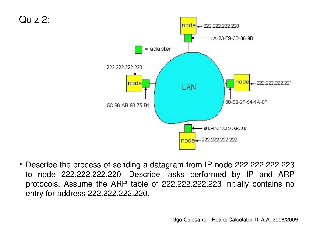

• Describe the process of sending a datagram from IP node 222.222.222.223 to node 222.222.222.220. Describe tasks performed by IP and ARP protocols. Assume the ARP table of 222.222.222.223 initially contains no entry for address 222.222.222.220.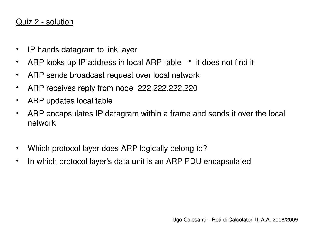#### Quiz 2 - solution

- IP hands datagram to link layer
- ARP looks up IP address in local ARP table it does not find it
- ARP sends broadcast request over local network
- ARP receives reply from node 222.222.222.220
- ARP updates local table
- ARP encapsulates IP datagram within a frame and sends it over the local network
- Which protocol layer does ARP logically belong to?
- In which protocol layer's data unit is an ARP PDU encapsulated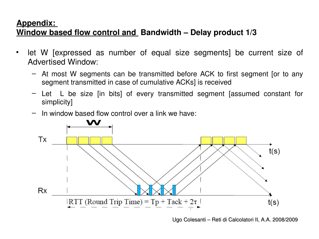#### **Appendix:**

### **Window based flow control and Bandwidth – Delay product 1/3**

- let W [expressed as number of equal size segments] be current size of Advertised Window:
	- At most W segments can be transmitted before ACK to first segment [or to any segment transmitted in case of cumulative ACKs] is received
	- Let L be size [in bits] of every transmitted segment [assumed constant for simplicity]
	- In window based flow control over a link we have:



Ugo Colesanti – Reti di Calcolatori II, A.A. 2008/2009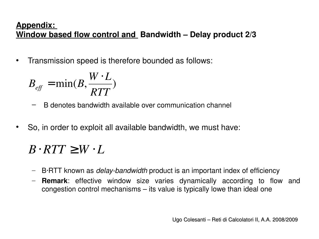#### **Appendix: Window based flow control and Bandwidth – Delay product 2/3**

• Transmission speed is therefore bounded as follows:

$$
B_{\text{eff}} = \min(B, \frac{W \cdot L}{RTT})
$$

- B denotes bandwidth available over communication channel
- So, in order to exploit all available bandwidth, we must have:

### $B \cdot RTT \geq W \cdot L$

- B∙RTT known as *delaybandwidth* product is an important index of efficiency
- **Remark**: effective window size varies dynamically according to flow and congestion control mechanisms – its value is typically lowe than ideal one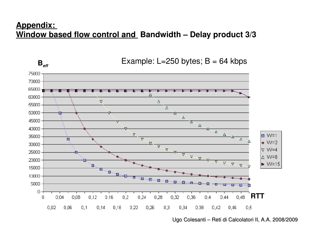#### **Appendix: Window based flow control and Bandwidth – Delay product 3/3**



Example:  $L=250$  bytes;  $B = 64$  kbps

Ugo Colesanti – Reti di Calcolatori II, A.A. 2008/2009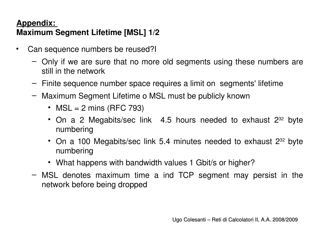### **Appendix: Maximum Segment Lifetime [MSL] 1/2**

- Can sequence numbers be reused?I
	- Only if we are sure that no more old segments using these numbers are still in the network
	- Finite sequence number space requires a limit on segments' lifetime
	- Maximum Segment Lifetime o MSL must be publicly known
		- MSL = 2 mins (RFC 793)
		- On a 2 Megabits/sec link  $\,$  4.5 hours needed to exhaust  $2^{32}$  byte numbering
		- On a 100 Megabits/sec link  $5.4$  minutes needed to exhaust  $2^{32}$  byte numbering
		- What happens with bandwidth values 1 Gbit/s or higher?
	- MSL denotes maximum time a ind TCP segment may persist in the network before being dropped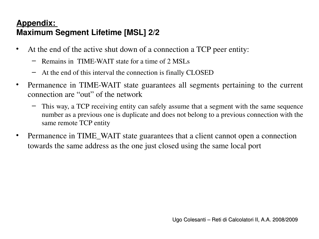### **Appendix: Maximum Segment Lifetime [MSL] 2/2**

- At the end of the active shut down of a connection a TCP peer entity:
	- $-$  Remains in TIME-WAIT state for a time of 2 MSLs
	- At the end of this interval the connection is finally CLOSED
- Permanence in TIME-WAIT state guarantees all segments pertaining to the current connection are "out" of the network
	- This way, a TCP receiving entity can safely assume that a segment with the same sequence number as a previous one is duplicate and does not belong to a previous connection with the same remote TCP entity
- Permanence in TIME\_WAIT state guarantees that a client cannot open a connection towards the same address as the one just closed using the same local port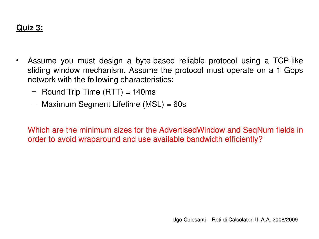- Assume you must design a byte-based reliable protocol using a TCP-like sliding window mechanism. Assume the protocol must operate on a 1 Gbps network with the following characteristics:
	- $-$  Round Trip Time (RTT) = 140ms
	- Maximum Segment Lifetime (MSL) = 60s

Which are the minimum sizes for the AdvertisedWindow and SeqNum fields in order to avoid wraparound and use available bandwidth efficiently?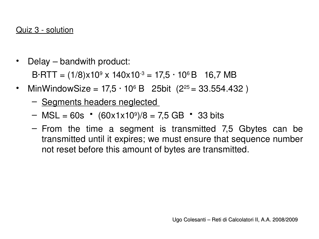- Delay bandwith product:  $B$ ∙RTT = (1/8)x10ª x 140x10<sup>-з</sup> = 17,5 · 10ª B 16,7 MB
- MinWindowSize = 17,5 ⋅ 10<sup>6</sup> B ¿25bit (2<sup>25</sup> = 33.554.432)
	- Segments headers neglected
	- $-$  MSL = 60s  $\cdot$  (60x1x10<sup>9</sup>)/8 = 7,5 GB  $\cdot$  33 bits
	- From the time a segment is transmitted 7,5 Gbytes can be transmitted until it expires; we must ensure that sequence number not reset before this amount of bytes are transmitted.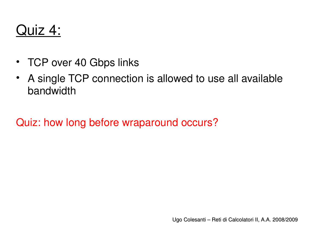# Quiz 4:

- TCP over 40 Gbps links
- A single TCP connection is allowed to use all available bandwidth

Quiz: how long before wraparound occurs?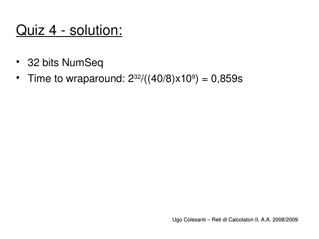# Quiz 4 - solution:

- 32 bits NumSeq
- Time to wraparound:  $2^{32}/((40/8)x10^9) = 0,859s$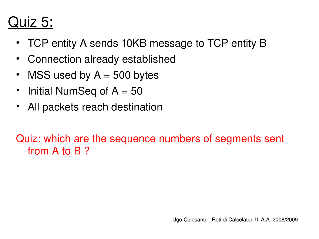# Quiz 5:

- TCP entity A sends 10KB message to TCP entity B
- Connection already established
- MSS used by  $A = 500$  bytes
- Initial NumSeq of  $A = 50$
- All packets reach destination

Quiz: which are the sequence numbers of segments sent from A to B ?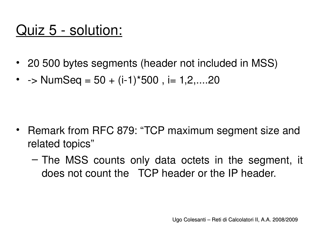# Quiz 5 - solution:

- 20 500 bytes segments (header not included in MSS)
- $\rightarrow$  NumSeq = 50 + (i-1)\*500, i= 1,2,....20

- Remark from RFC 879: "TCP maximum segment size and related topics"
	- The MSS counts only data octets in the segment, it does not count the TCP header or the IP header.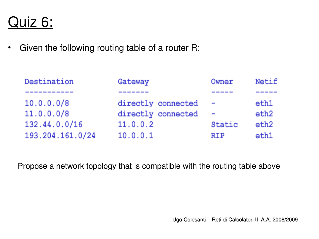### Quiz 6:

• Given the following routing table of a router R:

| Destination      | Gateway            | Owner                    | Netif |
|------------------|--------------------|--------------------------|-------|
|                  |                    |                          |       |
| 10.0.0.0/8       | directly connected | $\overline{\phantom{a}}$ | eth1  |
| 11.0.0.0/8       | directly connected | $\overline{\phantom{a}}$ | eth2  |
| 132.44.0.0/16    | 11.0.0.2           | Static                   | eth2  |
| 193.204.161.0/24 | 10.0.0.1           | <b>RIP</b>               | eth1  |

Propose a network topology that is compatible with the routing table above

Ugo Colesanti – Reti di Calcolatori II, A.A. 2008/2009